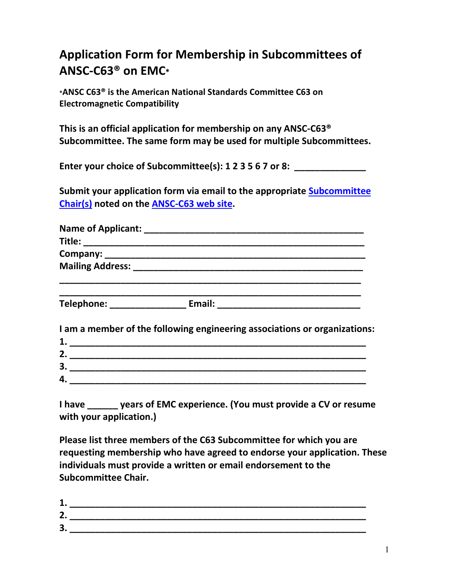## **Application Form for Membership in Subcommittees of ANSC-C63® on EMC\***

**\*ANSC C63® is the American National Standards Committee C63 on Electromagnetic Compatibility** 

**This is an official application for membership on any ANSC-C63® Subcommittee. The same form may be used for multiple Subcommittees.** 

**Enter your choice of Subcommittee(s): 1 2 3 5 6 7 or 8: \_\_\_\_\_\_\_\_\_\_\_\_\_\_** 

**Submit your application form via email to the appropriate Subcommittee Chair(s) noted on the ANSC-C63 web site.** 

| Telephone: __________________________ Email: ___________________________________ |
|----------------------------------------------------------------------------------|
| I am a member of the following engineering associations or organizations:        |
|                                                                                  |
|                                                                                  |
|                                                                                  |
|                                                                                  |
|                                                                                  |

**I have \_\_\_\_\_\_ years of EMC experience. (You must provide a CV or resume with your application.)** 

**Please list three members of the C63 Subcommittee for which you are requesting membership who have agreed to endorse your application. These individuals must provide a written or email endorsement to the Subcommittee Chair.** 

| ø              |  |
|----------------|--|
| $\blacksquare$ |  |
| ີ              |  |